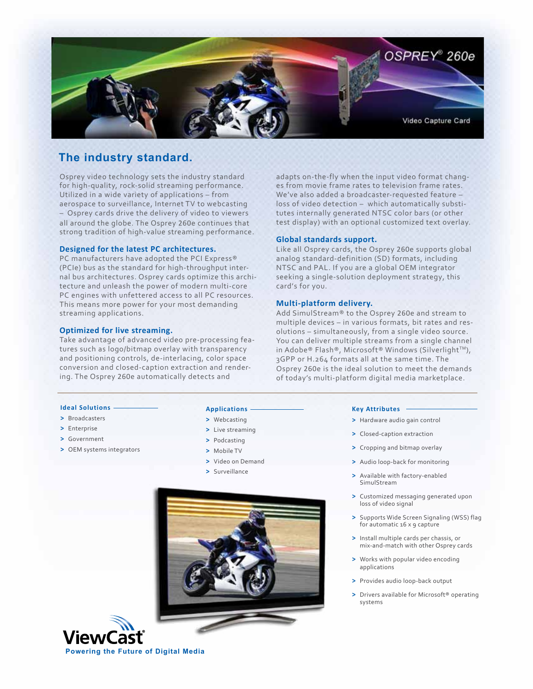

# **The industry standard.**

Osprey video technology sets the industry standard for high-quality, rock-solid streaming performance. Utilized in a wide variety of applications – from aerospace to surveillance, Internet TV to webcasting – Osprey cards drive the delivery of video to viewers all around the globe. The Osprey 260e continues that strong tradition of high-value streaming performance.

## **Designed for the latest PC architectures.**

PC manufacturers have adopted the PCI Express® (PCIe) bus as the standard for high-throughput internal bus architectures. Osprey cards optimize this architecture and unleash the power of modern multi-core PC engines with unfettered access to all PC resources. This means more power for your most demanding streaming applications.

### **Optimized for live streaming.**

Take advantage of advanced video pre-processing features such as logo/bitmap overlay with transparency and positioning controls, de-interlacing, color space conversion and closed-caption extraction and rendering. The Osprey 260e automatically detects and

adapts on-the-fly when the input video format changes from movie frame rates to television frame rates. We've also added a broadcaster-requested feature – loss of video detection – which automatically substitutes internally generated NTSC color bars (or other test display) with an optional customized text overlay.

# **Global standards support.**

Like all Osprey cards, the Osprey 260e supports global analog standard-definition (SD) formats, including NTSC and PAL. If you are a global OEM integrator seeking a single-solution deployment strategy, this card's for you.

# **Multi-platform delivery.**

Add SimulStream® to the Osprey 260e and stream to multiple devices – in various formats, bit rates and resolutions – simultaneously, from a single video source. You can deliver multiple streams from a single channel in Adobe® Flash®, Microsoft® Windows (Silverlight™), 3GPP or H.264 formats all at the same time. The Osprey 260e is the ideal solution to meet the demands of today's multi-platform digital media marketplace.

# **Ideal Solutions**

- **>** Broadcasters
- **>** Enterprise
- **>** Government
- **>** OEM systems integrators

#### **Applications**

- **>** Webcasting
- **>** Live streaming
- **>** Podcasting
- **>** Mobile TV
- **>** Video on Demand
- **>** Surveillance





#### **Key Attributes**

- **>** Hardware audio gain control
- **>** Closed-caption extraction
- **>** Cropping and bitmap overlay
- **>** Audio loop-back for monitoring
- **>** Available with factory-enabled SimulStream
- **>** Customized messaging generated upon loss of video signal
- **>** Supports Wide Screen Signaling (WSS) flag for automatic 16 x 9 capture
- **>** Install multiple cards per chassis, or mix-and-match with other Osprey cards
- **>** Works with popular video encoding applications
- **>** Provides audio loop-back output
- **>** Drivers available for Microsoft® operating systems